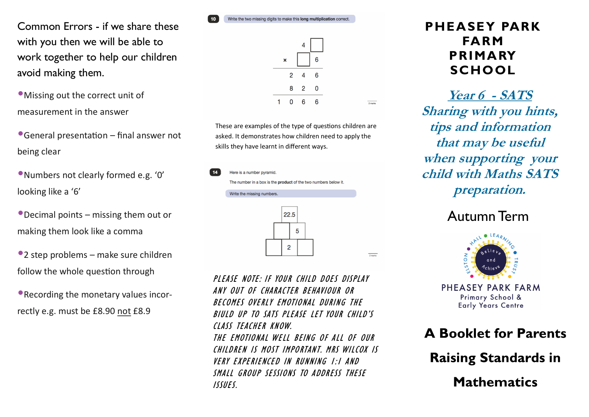Common Errors - if we share these with you then we will be able to work together to help our children avoid making them.

•Missing out the correct unit of measurement in the answer

•General presentation – final answer not being clear

•Numbers not clearly formed e.g. '0' looking like a '6'

•Decimal points – missing them out or making them look like a comma

•2 step problems – make sure children follow the whole question through

•Recording the monetary values incorrectly e.g. must be £8.90 not £8.9

Write the two missing digits to make this long multiplication correct.



 $\frac{1}{2 \text{ marks}}$ 

2 marks

These are examples of the type of questions children are asked. It demonstrates how children need to apply the skills they have learnt in different ways.



PLEASE NOTE: IF YOUR CHILD DOES DISPLAY ANY OUT OF CHARACTER BEHAVIOUR OR BECOMES OVERLY EMOTIONAL DURING THE BIULD UP TO SATS PLEASE LET YOUR CHILD'S CLASS TEACHER KNOW. THE EMOTIONAL WELL BEING OF ALL OF OUR CHILDREN IS MOST IMPORTANT. MRS WILCOX IS VERY EXPERIENCED IN RUNNING 1:1 AND SMALL GROUP SESSIONS TO ADDRESS THESE ISSUES.

## **PHEASEY PARK FARM PRIMARY SCHOOL**

**Year 6 - SATS Sharing with you hints, tips and information that may be useful when supporting your child with Maths SATS preparation.**

## Autumn Term



PHEASEY PARK FARM Primary School & **Early Years Centre** 



**Mathematics**